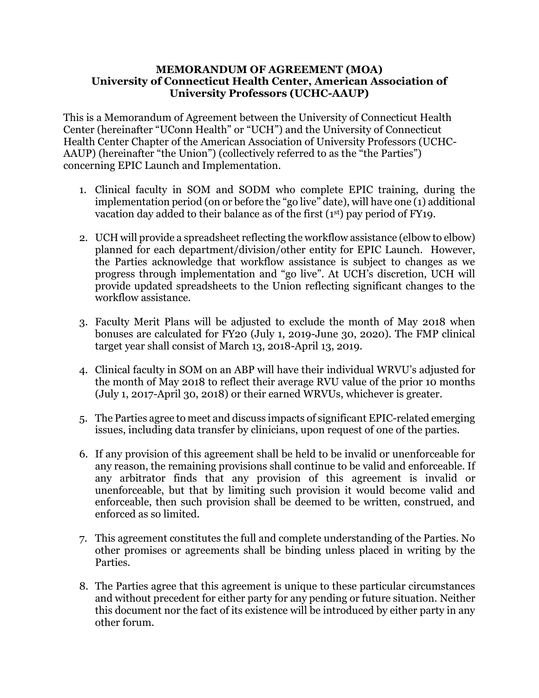## **MEMORANDUM OF AGREEMENT (MOA) University of Connecticut Health Center, American Association of University Professors (UCHC-AAUP)**

This is a Memorandum of Agreement between the University of Connecticut Health Center (hereinafter "UConn Health" or "UCH") and the University of Connecticut Health Center Chapter of the American Association of University Professors (UCHC-AAUP) (hereinafter "the Union") (collectively referred to as the "the Parties") concerning EPIC Launch and Implementation.

- 1. Clinical faculty in SOM and SODM who complete EPIC training, during the implementation period (on or before the "go live" date), will have one (1) additional vacation day added to their balance as of the first (1st) pay period of FY19.
- 2. UCH will provide a spreadsheet reflecting the workflow assistance (elbow to elbow) planned for each department/division/other entity for EPIC Launch. However, the Parties acknowledge that workflow assistance is subject to changes as we progress through implementation and "go live". At UCH's discretion, UCH will provide updated spreadsheets to the Union reflecting significant changes to the workflow assistance.
- 3. Faculty Merit Plans will be adjusted to exclude the month of May 2018 when bonuses are calculated for FY20 (July 1, 2019-June 30, 2020). The FMP clinical target year shall consist of March 13, 2018-April 13, 2019.
- 4. Clinical faculty in SOM on an ABP will have their individual WRVU's adjusted for the month of May 2018 to reflect their average RVU value of the prior 10 months (July 1, 2017-April 30, 2018) or their earned WRVUs, whichever is greater.
- 5. The Parties agree to meet and discuss impacts of significant EPIC-related emerging issues, including data transfer by clinicians, upon request of one of the parties.
- 6. If any provision of this agreement shall be held to be invalid or unenforceable for any reason, the remaining provisions shall continue to be valid and enforceable. If any arbitrator finds that any provision of this agreement is invalid or unenforceable, but that by limiting such provision it would become valid and enforceable, then such provision shall be deemed to be written, construed, and enforced as so limited.
- 7. This agreement constitutes the full and complete understanding of the Parties. No other promises or agreements shall be binding unless placed in writing by the Parties.
- 8. The Parties agree that this agreement is unique to these particular circumstances and without precedent for either party for any pending or future situation. Neither this document nor the fact of its existence will be introduced by either party in any other forum.